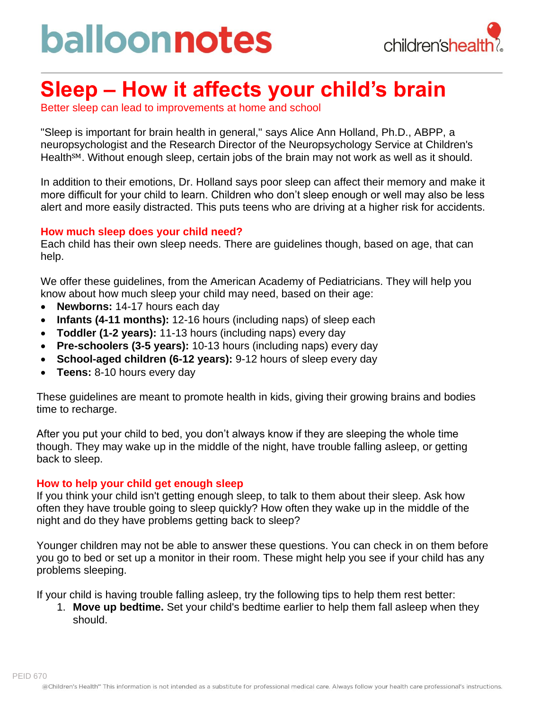# balloonnotes



### **Sleep – How it affects your child's brain**

Better sleep can lead to improvements at home and school

"Sleep is important for brain health in general," says Alice Ann Holland, Ph.D., ABPP, a neuropsychologist and the Research Director of the Neuropsychology Service at Children's Health<sup>SM</sup>. Without enough sleep, certain jobs of the brain may not work as well as it should.

In addition to their emotions, Dr. Holland says poor sleep can affect their memory and make it more difficult for your child to learn. Children who don't sleep enough or well may also be less alert and more easily distracted. This puts teens who are driving at a higher risk for accidents.

### **How much sleep does your child need?**

Each child has their own sleep needs. There are guidelines though, based on age, that can help.

We offer these guidelines, from the American Academy of Pediatricians. They will help you know about how much sleep your child may need, based on their age:

- **Newborns:** 14-17 hours each day
- **Infants (4-11 months):** 12-16 hours (including naps) of sleep each
- **Toddler (1-2 years):** 11-13 hours (including naps) every day
- **Pre-schoolers (3-5 years):** 10-13 hours (including naps) every day
- **School-aged children (6-12 years):** 9-12 hours of sleep every day
- **Teens:** 8-10 hours every day

These guidelines are meant to promote health in kids, giving their growing brains and bodies time to recharge.

After you put your child to bed, you don't always know if they are sleeping the whole time though. They may wake up in the middle of the night, have trouble falling asleep, or getting back to sleep.

#### **How to help your child get enough sleep**

If you think your child isn't getting enough sleep, to talk to them about their sleep. Ask how often they have trouble going to sleep quickly? How often they wake up in the middle of the night and do they have problems getting back to sleep?

Younger children may not be able to answer these questions. You can check in on them before you go to bed or set up a monitor in their room. These might help you see if your child has any problems sleeping.

If your child is having trouble falling asleep, try the following tips to help them rest better:

1. **Move up bedtime.** Set your child's bedtime earlier to help them fall asleep when they should.

PEID 670 @Children's Health<sup>®</sup> This information is not intended as a substitute for professional medical care. Always follow your health care professional's instructions.